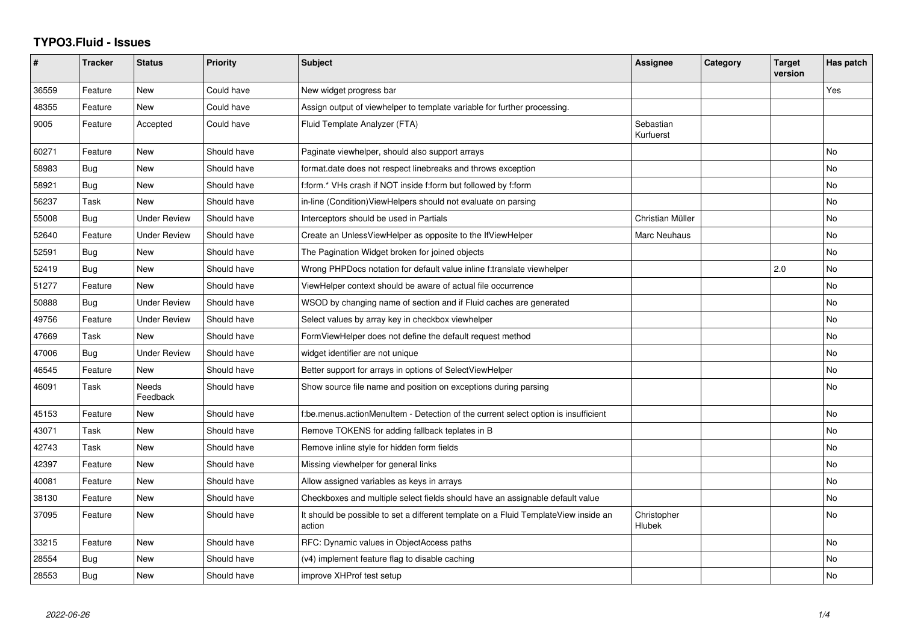## **TYPO3.Fluid - Issues**

| #     | <b>Tracker</b> | <b>Status</b>       | <b>Priority</b> | <b>Subject</b>                                                                                | Assignee               | Category | <b>Target</b><br>version | Has patch |
|-------|----------------|---------------------|-----------------|-----------------------------------------------------------------------------------------------|------------------------|----------|--------------------------|-----------|
| 36559 | Feature        | <b>New</b>          | Could have      | New widget progress bar                                                                       |                        |          |                          | Yes       |
| 48355 | Feature        | New                 | Could have      | Assign output of viewhelper to template variable for further processing.                      |                        |          |                          |           |
| 9005  | Feature        | Accepted            | Could have      | Fluid Template Analyzer (FTA)                                                                 | Sebastian<br>Kurfuerst |          |                          |           |
| 60271 | Feature        | <b>New</b>          | Should have     | Paginate viewhelper, should also support arrays                                               |                        |          |                          | No        |
| 58983 | Bug            | New                 | Should have     | format.date does not respect linebreaks and throws exception                                  |                        |          |                          | No        |
| 58921 | Bug            | New                 | Should have     | f:form.* VHs crash if NOT inside f:form but followed by f:form                                |                        |          |                          | No        |
| 56237 | Task           | New                 | Should have     | in-line (Condition) View Helpers should not evaluate on parsing                               |                        |          |                          | <b>No</b> |
| 55008 | <b>Bug</b>     | <b>Under Review</b> | Should have     | Interceptors should be used in Partials                                                       | Christian Müller       |          |                          | <b>No</b> |
| 52640 | Feature        | <b>Under Review</b> | Should have     | Create an UnlessViewHelper as opposite to the IfViewHelper                                    | Marc Neuhaus           |          |                          | <b>No</b> |
| 52591 | Bug            | <b>New</b>          | Should have     | The Pagination Widget broken for joined objects                                               |                        |          |                          | No        |
| 52419 | Bug            | New                 | Should have     | Wrong PHPDocs notation for default value inline f:translate viewhelper                        |                        |          | 2.0                      | No        |
| 51277 | Feature        | <b>New</b>          | Should have     | ViewHelper context should be aware of actual file occurrence                                  |                        |          |                          | <b>No</b> |
| 50888 | Bug            | <b>Under Review</b> | Should have     | WSOD by changing name of section and if Fluid caches are generated                            |                        |          |                          | No        |
| 49756 | Feature        | <b>Under Review</b> | Should have     | Select values by array key in checkbox viewhelper                                             |                        |          |                          | No        |
| 47669 | Task           | <b>New</b>          | Should have     | FormViewHelper does not define the default request method                                     |                        |          |                          | No        |
| 47006 | Bug            | Under Review        | Should have     | widget identifier are not unique                                                              |                        |          |                          | No        |
| 46545 | Feature        | New                 | Should have     | Better support for arrays in options of SelectViewHelper                                      |                        |          |                          | No        |
| 46091 | Task           | Needs<br>Feedback   | Should have     | Show source file name and position on exceptions during parsing                               |                        |          |                          | No        |
| 45153 | Feature        | <b>New</b>          | Should have     | f:be.menus.actionMenuItem - Detection of the current select option is insufficient            |                        |          |                          | No        |
| 43071 | Task           | New                 | Should have     | Remove TOKENS for adding fallback teplates in B                                               |                        |          |                          | <b>No</b> |
| 42743 | Task           | New                 | Should have     | Remove inline style for hidden form fields                                                    |                        |          |                          | No        |
| 42397 | Feature        | New                 | Should have     | Missing viewhelper for general links                                                          |                        |          |                          | No        |
| 40081 | Feature        | New                 | Should have     | Allow assigned variables as keys in arrays                                                    |                        |          |                          | <b>No</b> |
| 38130 | Feature        | New                 | Should have     | Checkboxes and multiple select fields should have an assignable default value                 |                        |          |                          | No        |
| 37095 | Feature        | New                 | Should have     | It should be possible to set a different template on a Fluid TemplateView inside an<br>action | Christopher<br>Hlubek  |          |                          | No        |
| 33215 | Feature        | New                 | Should have     | RFC: Dynamic values in ObjectAccess paths                                                     |                        |          |                          | No        |
| 28554 | Bug            | New                 | Should have     | (v4) implement feature flag to disable caching                                                |                        |          |                          | No        |
| 28553 | Bug            | New                 | Should have     | improve XHProf test setup                                                                     |                        |          |                          | No        |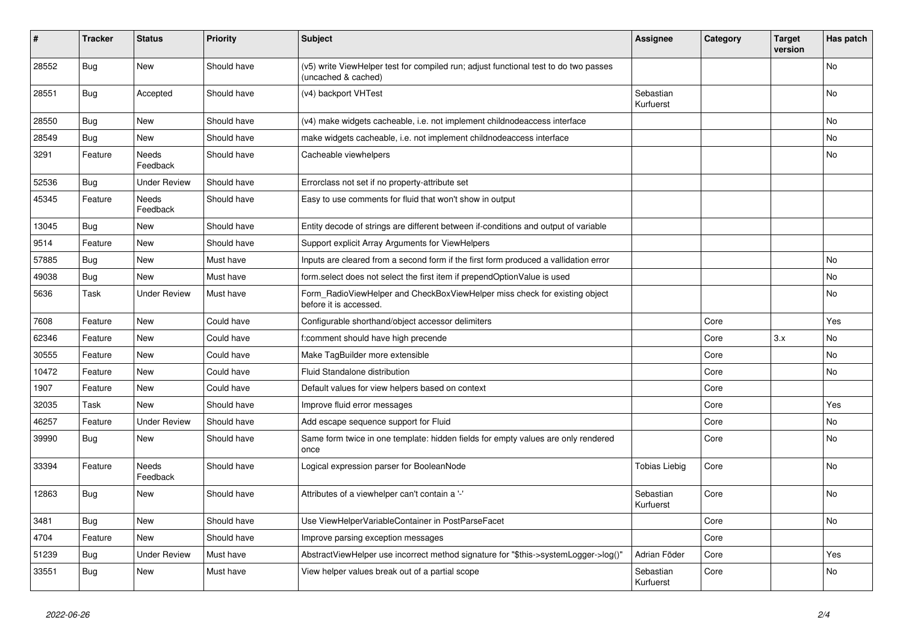| #     | <b>Tracker</b> | <b>Status</b>            | <b>Priority</b> | <b>Subject</b>                                                                                              | <b>Assignee</b>        | Category | <b>Target</b><br>version | Has patch |
|-------|----------------|--------------------------|-----------------|-------------------------------------------------------------------------------------------------------------|------------------------|----------|--------------------------|-----------|
| 28552 | <b>Bug</b>     | <b>New</b>               | Should have     | (v5) write ViewHelper test for compiled run; adjust functional test to do two passes<br>(uncached & cached) |                        |          |                          | No        |
| 28551 | Bug            | Accepted                 | Should have     | (v4) backport VHTest                                                                                        | Sebastian<br>Kurfuerst |          |                          | <b>No</b> |
| 28550 | <b>Bug</b>     | New                      | Should have     | (v4) make widgets cacheable, i.e. not implement childnodeaccess interface                                   |                        |          |                          | No        |
| 28549 | Bug            | New                      | Should have     | make widgets cacheable, i.e. not implement childnodeaccess interface                                        |                        |          |                          | No        |
| 3291  | Feature        | Needs<br>Feedback        | Should have     | Cacheable viewhelpers                                                                                       |                        |          |                          | No        |
| 52536 | Bug            | <b>Under Review</b>      | Should have     | Errorclass not set if no property-attribute set                                                             |                        |          |                          |           |
| 45345 | Feature        | <b>Needs</b><br>Feedback | Should have     | Easy to use comments for fluid that won't show in output                                                    |                        |          |                          |           |
| 13045 | Bug            | New                      | Should have     | Entity decode of strings are different between if-conditions and output of variable                         |                        |          |                          |           |
| 9514  | Feature        | <b>New</b>               | Should have     | Support explicit Array Arguments for ViewHelpers                                                            |                        |          |                          |           |
| 57885 | Bug            | <b>New</b>               | Must have       | Inputs are cleared from a second form if the first form produced a vallidation error                        |                        |          |                          | No        |
| 49038 | Bug            | <b>New</b>               | Must have       | form.select does not select the first item if prependOptionValue is used                                    |                        |          |                          | No        |
| 5636  | Task           | <b>Under Review</b>      | Must have       | Form_RadioViewHelper and CheckBoxViewHelper miss check for existing object<br>before it is accessed.        |                        |          |                          | No        |
| 7608  | Feature        | <b>New</b>               | Could have      | Configurable shorthand/object accessor delimiters                                                           |                        | Core     |                          | Yes       |
| 62346 | Feature        | New                      | Could have      | f:comment should have high precende                                                                         |                        | Core     | 3.x                      | No        |
| 30555 | Feature        | New                      | Could have      | Make TagBuilder more extensible                                                                             |                        | Core     |                          | No        |
| 10472 | Feature        | New                      | Could have      | Fluid Standalone distribution                                                                               |                        | Core     |                          | No        |
| 1907  | Feature        | New                      | Could have      | Default values for view helpers based on context                                                            |                        | Core     |                          |           |
| 32035 | Task           | New                      | Should have     | Improve fluid error messages                                                                                |                        | Core     |                          | Yes       |
| 46257 | Feature        | <b>Under Review</b>      | Should have     | Add escape sequence support for Fluid                                                                       |                        | Core     |                          | No        |
| 39990 | Bug            | New                      | Should have     | Same form twice in one template: hidden fields for empty values are only rendered<br>once                   |                        | Core     |                          | No        |
| 33394 | Feature        | Needs<br>Feedback        | Should have     | Logical expression parser for BooleanNode                                                                   | Tobias Liebig          | Core     |                          | No        |
| 12863 | Bug            | <b>New</b>               | Should have     | Attributes of a viewhelper can't contain a '-'                                                              | Sebastian<br>Kurfuerst | Core     |                          | <b>No</b> |
| 3481  | Bug            | <b>New</b>               | Should have     | Use ViewHelperVariableContainer in PostParseFacet                                                           |                        | Core     |                          | No        |
| 4704  | Feature        | New                      | Should have     | Improve parsing exception messages                                                                          |                        | Core     |                          |           |
| 51239 | Bug            | <b>Under Review</b>      | Must have       | AbstractViewHelper use incorrect method signature for "\$this->systemLogger->log()"                         | Adrian Föder           | Core     |                          | Yes       |
| 33551 | Bug            | New                      | Must have       | View helper values break out of a partial scope                                                             | Sebastian<br>Kurfuerst | Core     |                          | No        |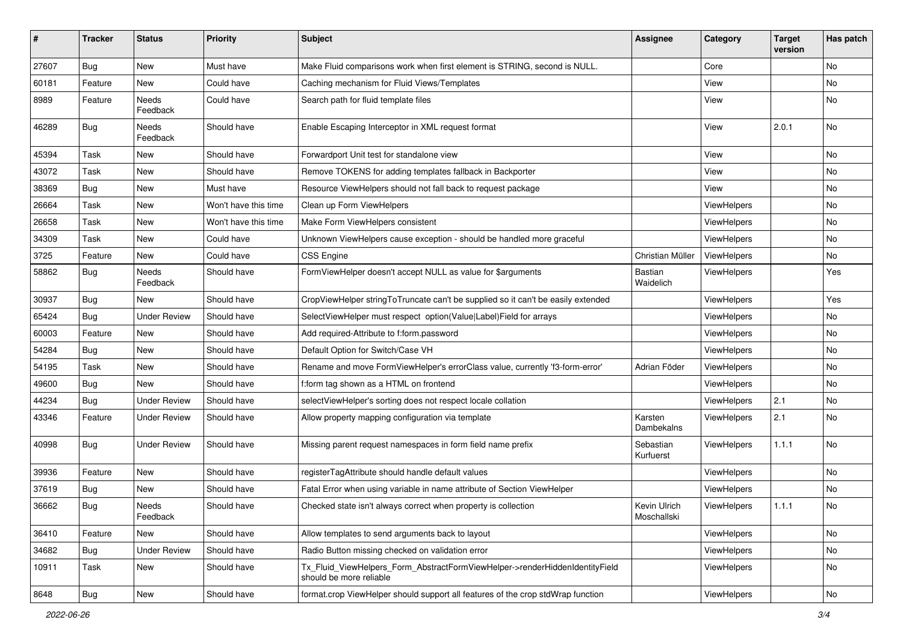| #     | <b>Tracker</b> | <b>Status</b>       | <b>Priority</b>      | Subject                                                                                                | <b>Assignee</b>             | Category           | <b>Target</b><br>version | Has patch |
|-------|----------------|---------------------|----------------------|--------------------------------------------------------------------------------------------------------|-----------------------------|--------------------|--------------------------|-----------|
| 27607 | Bug            | New                 | Must have            | Make Fluid comparisons work when first element is STRING, second is NULL.                              |                             | Core               |                          | No        |
| 60181 | Feature        | New                 | Could have           | Caching mechanism for Fluid Views/Templates                                                            |                             | View               |                          | No        |
| 8989  | Feature        | Needs<br>Feedback   | Could have           | Search path for fluid template files                                                                   |                             | View               |                          | No        |
| 46289 | Bug            | Needs<br>Feedback   | Should have          | Enable Escaping Interceptor in XML request format                                                      |                             | View               | 2.0.1                    | No        |
| 45394 | Task           | New                 | Should have          | Forwardport Unit test for standalone view                                                              |                             | View               |                          | No        |
| 43072 | Task           | New                 | Should have          | Remove TOKENS for adding templates fallback in Backporter                                              |                             | View               |                          | No        |
| 38369 | Bug            | New                 | Must have            | Resource ViewHelpers should not fall back to request package                                           |                             | View               |                          | No        |
| 26664 | Task           | New                 | Won't have this time | Clean up Form ViewHelpers                                                                              |                             | ViewHelpers        |                          | No        |
| 26658 | Task           | New                 | Won't have this time | Make Form ViewHelpers consistent                                                                       |                             | ViewHelpers        |                          | No        |
| 34309 | Task           | New                 | Could have           | Unknown ViewHelpers cause exception - should be handled more graceful                                  |                             | ViewHelpers        |                          | No        |
| 3725  | Feature        | New                 | Could have           | <b>CSS Engine</b>                                                                                      | Christian Müller            | ViewHelpers        |                          | No        |
| 58862 | Bug            | Needs<br>Feedback   | Should have          | FormViewHelper doesn't accept NULL as value for \$arguments                                            | Bastian<br>Waidelich        | ViewHelpers        |                          | Yes       |
| 30937 | Bug            | New                 | Should have          | CropViewHelper stringToTruncate can't be supplied so it can't be easily extended                       |                             | ViewHelpers        |                          | Yes       |
| 65424 | Bug            | <b>Under Review</b> | Should have          | SelectViewHelper must respect option(Value Label)Field for arrays                                      |                             | ViewHelpers        |                          | No        |
| 60003 | Feature        | New                 | Should have          | Add required-Attribute to f:form.password                                                              |                             | ViewHelpers        |                          | No        |
| 54284 | Bug            | New                 | Should have          | Default Option for Switch/Case VH                                                                      |                             | ViewHelpers        |                          | No        |
| 54195 | Task           | New                 | Should have          | Rename and move FormViewHelper's errorClass value, currently 'f3-form-error'                           | Adrian Föder                | ViewHelpers        |                          | No        |
| 49600 | Bug            | New                 | Should have          | f:form tag shown as a HTML on frontend                                                                 |                             | ViewHelpers        |                          | No        |
| 44234 | Bug            | <b>Under Review</b> | Should have          | selectViewHelper's sorting does not respect locale collation                                           |                             | ViewHelpers        | 2.1                      | No        |
| 43346 | Feature        | Under Review        | Should have          | Allow property mapping configuration via template                                                      | Karsten<br>Dambekalns       | <b>ViewHelpers</b> | 2.1                      | No        |
| 40998 | Bug            | <b>Under Review</b> | Should have          | Missing parent request namespaces in form field name prefix                                            | Sebastian<br>Kurfuerst      | ViewHelpers        | 1.1.1                    | <b>No</b> |
| 39936 | Feature        | New                 | Should have          | registerTagAttribute should handle default values                                                      |                             | ViewHelpers        |                          | No        |
| 37619 | Bug            | New                 | Should have          | Fatal Error when using variable in name attribute of Section ViewHelper                                |                             | ViewHelpers        |                          | No        |
| 36662 | Bug            | Needs<br>Feedback   | Should have          | Checked state isn't always correct when property is collection                                         | Kevin Ulrich<br>Moschallski | ViewHelpers        | 1.1.1                    | No        |
| 36410 | Feature        | New                 | Should have          | Allow templates to send arguments back to layout                                                       |                             | ViewHelpers        |                          | No        |
| 34682 | Bug            | <b>Under Review</b> | Should have          | Radio Button missing checked on validation error                                                       |                             | ViewHelpers        |                          | No        |
| 10911 | Task           | New                 | Should have          | Tx Fluid ViewHelpers Form AbstractFormViewHelper->renderHiddenIdentityField<br>should be more reliable |                             | ViewHelpers        |                          | No        |
| 8648  | Bug            | New                 | Should have          | format.crop ViewHelper should support all features of the crop stdWrap function                        |                             | ViewHelpers        |                          | No        |